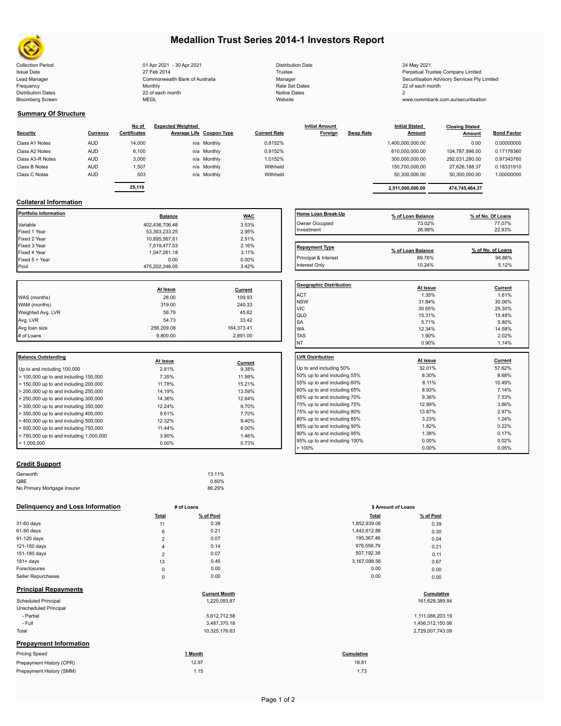

# **Medallion Trust Series 2014-1 Investors Report**

Collection Period 24 May 2021 01 Apr 2021 - 30 Apr 2021 Distribution Date 24 May 2021 Issue Date 27 Feb 2014 27 Feb 2014 27 Feb 2014 27 Feb 2014 22 Feb 2014 28 Fustee Perpetual Trustee Company Limited Lead Manager **Commonwealth Bank of Australia** Manager Manager Securitisation Advisory Services Pty Limited Frequency and the Monthly Monthly Monthly Rate Set Dates Rate Set Dates 22 of each month Distribution Dates 22 of each month Notice Dates 22 of each month Notice Dates 2 Bloomberg Screen MEDL Website www.commbank.com.au/securitisation

| <b>Distribution Date</b> |
|--------------------------|
| Trustee                  |
| Manager                  |
| Rate Set Dates           |
| Notice Dates             |
| Website                  |

### **Summary Of Structure**

|                  |            | No of        | <b>Expected Weighted</b> |             |                     | <b>Initial Amount</b> |                  | <b>Initial Stated</b> | <b>Closing Stated</b> |                    |  |
|------------------|------------|--------------|--------------------------|-------------|---------------------|-----------------------|------------------|-----------------------|-----------------------|--------------------|--|
| <b>Security</b>  | Currency   | Certificates | Average Life Coupon Type |             | <b>Current Rate</b> | Foreign               | <b>Swap Rate</b> | <b>Amount</b>         | Amount                | <b>Bond Factor</b> |  |
| Class A1 Notes   | <b>AUD</b> | 14,000       |                          | n/a Monthly | 0.8152%             |                       |                  | 1,400,000,000.00      | 0.00                  | 0.00000000         |  |
| Class A2 Notes   | <b>AUD</b> | 6,100        |                          | n/a Monthly | 0.9152%             |                       |                  | 610,000,000.00        | 104.787.996.00        | 0.17178360         |  |
| Class A3-R Notes | <b>AUD</b> | 3,000        |                          | n/a Monthly | 1.0152%             |                       |                  | 300,000,000.00        | 292.031.280.00        | 0.97343760         |  |
| Class B Notes    | <b>AUD</b> | 1.507        |                          | n/a Monthly | Withheld            |                       |                  | 150.700.000.00        | 27.626.188.37         | 0.18331910         |  |
| Class C Notes    | <b>AUD</b> | 503          |                          | n/a Monthly | Withheld            |                       |                  | 50.300.000.00         | 50.300.000.00         | 1.00000000         |  |
|                  |            |              |                          |             |                     |                       |                  |                       |                       |                    |  |

| Currencv | No of<br><b>Certificates</b> | <b>Expected Weighted</b> | Average Life Coupon Type | <b>Current Rate</b> | <b>Initial Amount</b><br>Foreign | Swap Rate | <b>Initial Stated</b><br><b>Amount</b> | <b>Closing Stated</b><br>Amount | <b>Bond Factor</b> |
|----------|------------------------------|--------------------------|--------------------------|---------------------|----------------------------------|-----------|----------------------------------------|---------------------------------|--------------------|
| AUD      | 14,000                       |                          | n/a Monthly              | 0.8152%             |                                  |           | 1,400,000,000.00                       | 0.00                            | 0.00000000         |
| AUD      | 6,100                        |                          | n/a Monthly              | 0.9152%             |                                  |           | 610.000.000.00                         | 104.787.996.00                  | 0.17178360         |
| AUD      | 3,000                        |                          | n/a Monthly              | 1.0152%             |                                  |           | 300.000.000.00                         | 292.031.280.00                  | 0.97343760         |
| AUD      | 1.507                        |                          | n/a Monthly              | Withheld            |                                  |           | 150.700.000.00                         | 27.626.188.37                   | 0.18331910         |
| AUD      | 503                          |                          | n/a Monthly              | Withheld            |                                  |           | 50.300.000.00                          | 50.300.000.00                   | 1.00000000         |
|          |                              |                          |                          |                     |                                  |           |                                        |                                 |                    |
|          | 25,110                       |                          |                          |                     |                                  |           | 2.511.000.000.00                       | 474,745,464.37                  |                    |

# **Collateral Information**

| Portfolio Information | <b>Balance</b> | <b>WAC</b> | Home Loan Break-Up    | % of Loan Balance | % of No. Of Loans |
|-----------------------|----------------|------------|-----------------------|-------------------|-------------------|
| Variable              | 402,436,706.48 | 3.53%      | Owner Occupied        | 73.02%            | 77.07%            |
| Fixed 1 Year          | 53,303,233.25  | 2.95%      | Investment            | 26.98%            | 22.93%            |
| Fixed 2 Year          | 10.895.567.61  | 2.51%      |                       |                   |                   |
| Fixed 3 Year          | 7,519,477.53   | 2.16%      | <b>Repayment Type</b> |                   |                   |
| Fixed 4 Year          | 1,047,261.18   | 3.11%      |                       | % of Loan Balance | % of No. of Loans |
| Fixed 5 + Year        | 0.00           | $0.00\%$   | Principal & Interest  | 89.76%            | 94.88%            |
| Pool                  | 475.202.246.05 | 3.42%      | Interest Only         | 10.24%            | 5.12%             |

|                   |            |            | Geo              |
|-------------------|------------|------------|------------------|
|                   | At Issue   | Current    |                  |
| WAS (months)      | 28.00      | 109.93     | AC <sup>-</sup>  |
| WAM (months)      | 319.00     | 240.33     | <b>NS</b><br>VIC |
| Weighted Avg. LVR | 58.79      | 45.62      | QLI              |
| Avg. LVR          | 54.73      | 33.42      | <b>SA</b>        |
| Avg loan size     | 256,209.08 | 164,373.41 | <b>WA</b>        |
| # of Loans        | 9.800.00   | 2,891.00   | <b>TAS</b>       |
|                   |            |            |                  |

| Balance Outstanding                                    | At issue          | Current        | <b>ILVR Distribution</b> |
|--------------------------------------------------------|-------------------|----------------|--------------------------|
| Up to and including 100,000                            | 2.81%             | 9.38%          | Up to and including      |
| $>$ 100,000 up to and including 150,000                | 7.35%             | 11.99%         | 50% up to and incl       |
| > 150,000 up to and including 200,000                  | 11.78%            | 15.21%         | 55% up to and incl       |
| $> 200,000$ up to and including 250,000                | 14.19%            | 13.59%         | 60% up to and incl       |
| > 250,000 up to and including 300,000                  | 14.36%            | 12.84%         | 65% up to and incl       |
| $>$ 300,000 up to and including 350,000                | 12.24%            | 9.70%          | 70% up to and incl       |
| > 350,000 up to and including 400,000                  | 9.61%             | 7.70%          | 75% up to and incl       |
| $>$ 400,000 up to and including 500,000                | 12.32%            | 9.40%          | 80% up to and incl       |
| $>$ 500,000 up to and including 750,000                | 11.44%            | 8.00%          | 85% up to and incl       |
|                                                        |                   |                | 90% up to and incl       |
|                                                        |                   |                | 95% up to and incl       |
| > 750,000 up to and including 1,000,000<br>> 1.000.000 | 3.90%<br>$0.00\%$ | 1.46%<br>0.73% |                          |

## **Home Loan Break-Up % of Loan Balance % of No. Of Loans** Owner Occupied 73.02% 77.07% 77.07% 77.07% 79.02% 77.07% Investment 26.98% 22.93% Repayment Type **Repayment Type % of Loan Balance % of No. of Loans**

| <b>Geographic Distribution</b> | At Issue | Current        |
|--------------------------------|----------|----------------|
| <b>ACT</b>                     | 1.35%    | 1.61%          |
| <b>NSW</b>                     | 31.84%   | 30.06%         |
| <b>VIC</b>                     | 30.65%   | 29.30%         |
| QLD                            | 15.31%   | 15.48%         |
| SA                             | 5.71%    | 5.80%          |
| <b>WA</b>                      | 12.34%   | 14.58%         |
| <b>TAS</b>                     | 1.90%    | 2.02%          |
| NT                             | 0.90%    | 1.14%          |
| <b>LVR Distribution</b>        | At issue | <b>Current</b> |
| Up to and including 50%        | 32.01%   | 57.62%         |
| 50% up to and including 55%    | 8.30%    | 8.68%          |
| 55% up to and including 60%    | 8.11%    | 10.49%         |
| 60% up to and including 65%    | 8.93%    | 7.14%          |
| 65% up to and including 70%    | 9.36%    | 7.53%          |
| 70% up to and including 75%    | 12.99%   | 3.86%          |
| 75% up to and including 80%    | 13.87%   | 2.97%          |
| 80% up to and including 85%    | 3.23%    | 1.24%          |
| 85% up to and including 90%    | 1.82%    | 0.22%          |
| 90% up to and including 95%    | 1.38%    | 0.17%          |
| 95% up to and including 100%   | 0.00%    | 0.02%          |
| >100%                          | 0.00%    | 0.05%          |

### **Credit Support**

| Genworth<br>13.11%                    |  |
|---------------------------------------|--|
| QBE<br>0.60%                          |  |
| No Primary Mortgage Insurer<br>86.29% |  |

### **Delinquency and Loss Information # of Loans**

|                               | Total          | % of Pool            | <b>Total</b> | % of Pool        |
|-------------------------------|----------------|----------------------|--------------|------------------|
| 31-60 days                    | 11             | 0.38                 | 1,852,939.06 | 0.39             |
| 61-90 days                    | 6              | 0.21                 | 1,442,612.88 | 0.30             |
| 91-120 days                   | $\overline{2}$ | 0.07                 | 195,367.46   | 0.04             |
| 121-150 days                  | 4              | 0.14                 | 976,556.79   | 0.21             |
| 151-180 days                  | $\overline{2}$ | 0.07                 | 507,192.38   | 0.11             |
| $181 + days$                  | 13             | 0.45                 | 3,167,098.56 | 0.67             |
| Foreclosures                  | $\mathsf 0$    | 0.00                 | 0.00         | 0.00             |
| Seller Repurchases            | $\mathsf 0$    | 0.00                 | 0.00         | 0.00             |
| <b>Principal Repayments</b>   |                | <b>Current Month</b> |              | Cumulative       |
| Scheduled Principal           |                | 1,225,093.87         |              | 161,629,389.84   |
| Unscheduled Principal         |                |                      |              |                  |
| - Partial                     |                | 5,612,712.58         |              | 1,111,066,203.19 |
| - Full                        |                | 3,487,370.18         |              | 1,456,312,150.06 |
| Total                         |                | 10,325,176.63        |              | 2,729,007,743.09 |
| <b>Prepayment Information</b> |                |                      |              |                  |
| <b>Pricing Speed</b>          |                | 1 Month              | Cumulative   |                  |
| Prepayment History (CPR)      |                | 12.97                | 18.81        |                  |
| Prepayment History (SMM)      |                | 1.15                 | 1.73         |                  |

|                | # of Loans | \$ Amount of Loans |           |  |  |
|----------------|------------|--------------------|-----------|--|--|
| Total          | % of Pool  | <b>Total</b>       | % of Pool |  |  |
| 11             | 0.38       | 1,852,939.06       | 0.39      |  |  |
| 6              | 0.21       | 1,442,612.88       | 0.30      |  |  |
| $\overline{2}$ | 0.07       | 195,367.46         | 0.04      |  |  |
| 4              | 0.14       | 976,556.79         | 0.21      |  |  |
| $\overline{2}$ | 0.07       | 507,192.38         | 0.11      |  |  |
| 13             | 0.45       | 3,167,098.56       | 0.67      |  |  |
| 0              | 0.00       | 0.00               | 0.00      |  |  |
| 0              | 0.00       | 0.00               | 0.00      |  |  |
|                |            |                    |           |  |  |

# **Cumulative**<br> **Cumulative**<br> **COMPUTE MONE CONTENT**<br> **COMPUTE CONTENT**<br> **COMPUTE CONTENT**<br> **COMPUTE CONTENT**<br> **COMPUTE CONTENT**